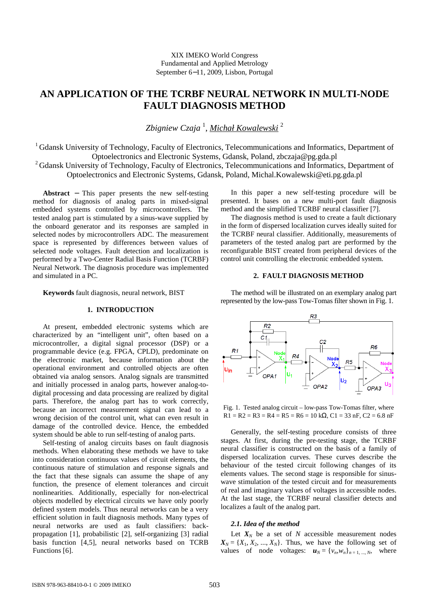# **AN APPLICATION OF THE TCRBF NEURAL NETWORK IN MULTI-NODE FAULT DIAGNOSIS METHOD**

*Zbigniew Czaja* <sup>1</sup> , *Michał Kowalewski* <sup>2</sup>

<sup>1</sup> Gdansk University of Technology, Faculty of Electronics, Telecommunications and Informatics, Department of Optoelectronics and Electronic Systems, Gdansk, Poland, zbczaja@pg.gda.pl <sup>2</sup> Gdansk University of Technology, Faculty of Electronics, Telecommunications and Informatics, Department of

Optoelectronics and Electronic Systems, Gdansk, Poland, Michal.Kowalewski@eti.pg.gda.pl

**Abstract** − This paper presents the new self-testing method for diagnosis of analog parts in mixed-signal embedded systems controlled by microcontrollers. The tested analog part is stimulated by a sinus-wave supplied by the onboard generator and its responses are sampled in selected nodes by microcontrollers ADC. The measurement space is represented by differences between values of selected node voltages. Fault detection and localization is performed by a Two-Center Radial Basis Function (TCRBF) Neural Network. The diagnosis procedure was implemented and simulated in a PC.

**Keywords** fault diagnosis, neural network, BIST

## **1. INTRODUCTION**

At present, embedded electronic systems which are characterized by an "intelligent unit", often based on a microcontroller, a digital signal processor (DSP) or a programmable device (e.g. FPGA, CPLD), predominate on the electronic market, because information about the operational environment and controlled objects are often obtained via analog sensors. Analog signals are transmitted and initially processed in analog parts, however analog-todigital processing and data processing are realized by digital parts. Therefore, the analog part has to work correctly, because an incorrect measurement signal can lead to a wrong decision of the control unit, what can even result in damage of the controlled device. Hence, the embedded system should be able to run self-testing of analog parts.

Self-testing of analog circuits bases on fault diagnosis methods. When elaborating these methods we have to take into consideration continuous values of circuit elements, the continuous nature of stimulation and response signals and the fact that these signals can assume the shape of any function, the presence of element tolerances and circuit nonlinearities. Additionally, especially for non-electrical objects modelled by electrical circuits we have only poorly defined system models. Thus neural networks can be a very efficient solution in fault diagnosis methods. Many types of neural networks are used as fault classifiers: backpropagation [1], probabilistic [2], self-organizing [3] radial basis function [4,5], neural networks based on TCRB Functions [6].

In this paper a new self-testing procedure will be presented. It bases on a new multi-port fault diagnosis method and the simplified TCRBF neural classifier [7].

The diagnosis method is used to create a fault dictionary in the form of dispersed localization curves ideally suited for the TCRBF neural classifier. Additionally, measurements of parameters of the tested analog part are performed by the reconfigurable BIST created from peripheral devices of the control unit controlling the electronic embedded system.

# **2. FAULT DIAGNOSIS METHOD**

The method will be illustrated on an exemplary analog part represented by the low-pass Tow-Tomas filter shown in Fig. 1.



Fig. 1. Tested analog circuit – low-pass Tow-Tomas filter, where  $R1 = R2 = R3 = R4 = R5 = R6 = 10 k\Omega$ , C1 = 33 nF, C2 = 6.8 nF

Generally, the self-testing procedure consists of three stages. At first, during the pre-testing stage, the TCRBF neural classifier is constructed on the basis of a family of dispersed localization curves. These curves describe the behaviour of the tested circuit following changes of its elements values. The second stage is responsible for sinuswave stimulation of the tested circuit and for measurements of real and imaginary values of voltages in accessible nodes. At the last stage, the TCRBF neural classifier detects and localizes a fault of the analog part.

# *2.1. Idea of the method*

Let  $X_N$  be a set of  $N$  accessible measurement nodes  $X_N = \{X_1, X_2, ..., X_N\}$ . Thus, we have the following set of values of node voltages:  $u_N = \{v_n, w_n\}_{n=1,\dots,N}$ , where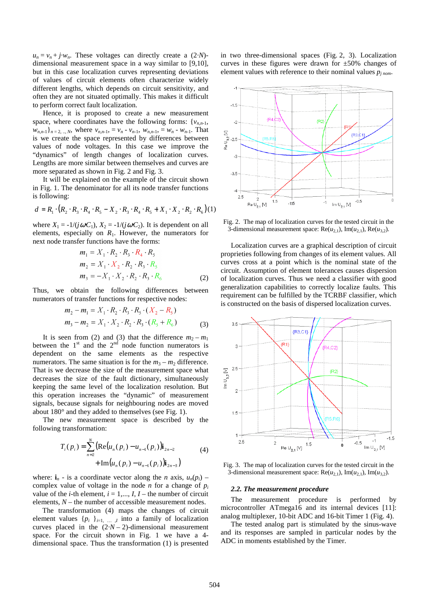$u_n = v_n + j \cdot w_n$ . These voltages can directly create a (2*·N*)dimensional measurement space in a way similar to [9,10], but in this case localization curves representing deviations of values of circuit elements often characterize widely different lengths, which depends on circuit sensitivity, and often they are not situated optimally. This makes it difficult to perform correct fault localization.

Hence, it is proposed to create a new measurement space, where coordinates have the following forms:  $\{v_{n,n-1},\}$  $w_{n,n-1}$ ,  $n = 2, ..., N$ , where  $v_{n,n-1} = v_n - v_{n-1}$ ,  $w_{n,n-1} = w_n - w_{n-1}$ . That is we create the space represented by differences between values of node voltages. In this case we improve the "dynamics" of length changes of localization curves. Lengths are more similar between themselves and curves are more separated as shown in Fig. 2 and Fig. 3.

It will be explained on the example of the circuit shown in Fig. 1. The denominator for all its node transfer functions is following:

$$
d = R_1 \cdot (R_2 \cdot R_3 \cdot R_4 \cdot R_5 - X_2 \cdot R_3 \cdot R_4 \cdot R_5 + X_1 \cdot X_2 \cdot R_2 \cdot R_6)(1)
$$

where  $X_1 = -1/(j\omega C_1)$ ,  $X_2 = -1/(j\omega C_2)$ . It is dependent on all elements, especially on  $R_1$ . However, the numerators for next node transfer functions have the forms:

$$
m_1 = X_1 \cdot R_2 \cdot R_3 \cdot R_4 \cdot R_5
$$
  
\n
$$
m_2 = X_1 \cdot X_2 \cdot R_2 \cdot R_3 \cdot R_5
$$
  
\n
$$
m_3 = -X_1 \cdot X_2 \cdot R_2 \cdot R_3 \cdot R_6
$$
  
\n(2)

Thus, we obtain the following differences between numerators of transfer functions for respective nodes:

$$
m_2 - m_1 = X_1 \cdot R_2 \cdot R_3 \cdot R_5 \cdot (X_2 - R_5)
$$
  
\n
$$
m_3 - m_2 = X_1 \cdot X_2 \cdot R_2 \cdot R_3 \cdot (R_5 + R_6)
$$
 (3)

It is seen from (2) and (3) that the difference  $m_2 - m_1$ between the  $1<sup>st</sup>$  and the  $2<sup>nd</sup>$  node function numerators is dependent on the same elements as the respective numerators. The same situation is for the  $m_3 - m_2$  difference. That is we decrease the size of the measurement space what decreases the size of the fault dictionary, simultaneously keeping the same level of the localization resolution. But this operation increases the "dynamic" of measurement signals, because signals for neighbouring nodes are moved about 180° and they added to themselves (see Fig. 1).

The new measurement space is described by the following transformation:

$$
T_i(p_i) = \sum_{n=2}^{N} \left( \text{Re}(u_n(p_i) - u_{n-1}(p_i)) \mathbf{i}_{2n-2} + \text{Im}(u_n(p_i) - u_{n-1}(p_i)) \mathbf{i}_{2n-3} \right)
$$
(4)

where:  $\mathbf{i}_n$  - is a coordinate vector along the *n* axis,  $u_n(p_i)$  – complex value of voltage in the node *n* for a change of  $p_i$ value of the *i*-th element,  $i = 1,..., I, I$  – the number of circuit elements, *N* – the number of accessible measurement nodes.

The transformation (4) maps the changes of circuit element values  $\{p_i\}_{i=1,\dots,I}$  into a family of localization curves placed in the  $(2\cdot N - 2)$ -dimensional measurement space. For the circuit shown in Fig. 1 we have a 4 dimensional space. Thus the transformation (1) is presented

in two three-dimensional spaces (Fig. 2, 3). Localization curves in these figures were drawn for  $\pm 50\%$  changes of element values with reference to their nominal values *pj nom*.



Fig. 2. The map of localization curves for the tested circuit in the 3-dimensional measurement space:  $\text{Re}(u_{2,1}), \text{Im}(u_{2,1}), \text{Re}(u_{3,2}).$ 

Localization curves are a graphical description of circuit proprieties following from changes of its element values. All curves cross at a point which is the nominal state of the circuit. Assumption of element tolerances causes dispersion of localization curves. Thus we need a classifier with good generalization capabilities to correctly localize faults. This requirement can be fulfilled by the TCRBF classifier, which is constructed on the basis of dispersed localization curves.



Fig. 3. The map of localization curves for the tested circuit in the 3-dimensional measurement space:  $\text{Re}(u_{2,1}), \text{Im}(u_{2,1}), \text{Im}(u_{3,2}).$ 

#### *2.2. The measurement procedure*

The measurement procedure is performed by microcontroller ATmega16 and its internal devices [11]: analog multiplexer, 10-bit ADC and 16-bit Timer 1 (Fig. 4).

The tested analog part is stimulated by the sinus-wave and its responses are sampled in particular nodes by the ADC in moments established by the Timer.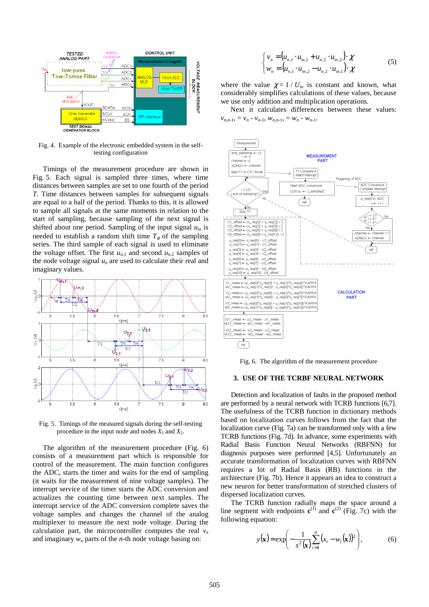

Fig. 4. Example of the electronic embedded system in the selftesting configuration

Timings of the measurement procedure are shown in Fig. 5. Each signal is sampled three times, where time distances between samples are set to one fourth of the period *T*. Time distances between samples for subsequent signals are equal to a half of the period. Thanks to this, it is allowed to sample all signals at the same moments in relation to the start of sampling, because sampling of the next signal is shifted about one period. Sampling of the input signal  $u_{in}$  is needed to establish a random shift time  $T_{\alpha}$  of the sampling series. The third sample of each signal is used to eliminate the voltage offset. The first  $u_{n,1}$  and second  $u_{n,2}$  samples of the node voltage signal  $u_n$  are used to calculate their real and imaginary values.



Fig. 5. Timings of the measured signals during the self-testing procedure in the input node and nodes  $X_1$  and  $X_2$ .

The algorithm of the measurement procedure (Fig. 6) consists of a measurement part which is responsible for control of the measurement. The main function configures the ADC, starts the timer and waits for the end of sampling (it waits for the measurement of nine voltage samples). The interrupt service of the timer starts the ADC conversion and actualizes the counting time between next samples. The interrupt service of the ADC conversion complete saves the voltage samples and changes the channel of the analog multiplexer to measure the next node voltage. During the calculation part, the microcontroller computes the real  $v_n$ and imaginary *wn* parts of the *n*-th node voltage basing on:

$$
\begin{cases} v_n = (u_{n,1} \cdot u_{in,1} + u_{n,2} \cdot u_{in,2}) \cdot \chi \\ w_n = (u_{n,1} \cdot u_{in,2} - u_{n,2} \cdot u_{in,1}) \cdot \chi \end{cases}
$$
 (5)

where the value  $\chi = 1 / U_{\text{in}}$  is constant and known, what considerably simplifies calculations of these values, because we use only addition and multiplication operations.

Next it calculates differences between these values:  $v_{n,n-1}$ ,  $= v_n - v_{n-1}$ ,  $w_{n,n-1}$ ,  $= w_n - w_{n-1}$ .



Fig. 6. The algorithm of the measurement procedure

#### **3. USE OF THE TCRBF NEURAL NETWORK**

Detection and localization of faults in the proposed method are performed by a neural network with TCRB functions [6,7]. The usefulness of the TCRB function in dictionary methods based on localization curves follows from the fact that the localization curve (Fig. 7a) can be transformed only with a few TCRB functions (Fig. 7d). In advance, some experiments with Radial Basis Function Neural Networks (RBFNN) for diagnosis purposes were performed [4,5]. Unfortunately an accurate transformation of localization curves with RBFNN requires a lot of Radial Basis (RB) functions in the architecture (Fig. 7b). Hence it appears an idea to construct a new neuron for better transformation of stretched clusters of dispersed localization curves.

The TCRB function radially maps the space around a line segment with endpoints  $c^{(1)}$  and  $c^{(2)}$  (Fig. 7c) with the following equation:

$$
y(\mathbf{x}) = \exp\left(-\frac{1}{s^2(\mathbf{x})}\sum_{i=1}^n (x_i - w_i(\mathbf{x}))^2\right),\tag{6}
$$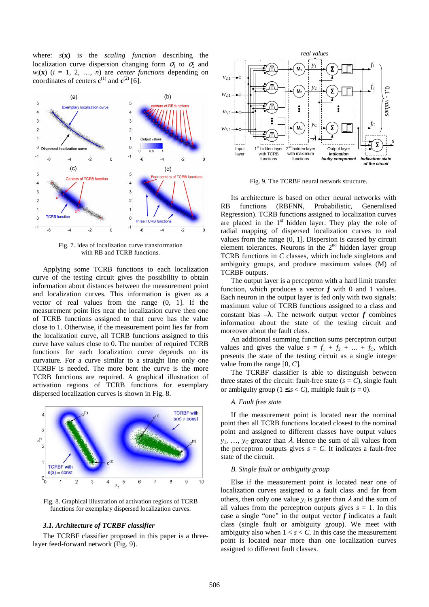where: *s*(**x)** is the *scaling function* describing the localization curve dispersion changing form  $\sigma_1$  to  $\sigma_2$  and  $w_i(\mathbf{x})$  ( $i = 1, 2, ..., n$ ) are *center functions* depending on coordinates of centers  $\mathbf{c}^{(1)}$  and  $\mathbf{c}^{(2)}$  [6].



Fig. 7. Idea of localization curve transformation with RB and TCRB functions.

Applying some TCRB functions to each localization curve of the testing circuit gives the possibility to obtain information about distances between the measurement point and localization curves. This information is given as a vector of real values from the range (0, 1]. If the measurement point lies near the localization curve then one of TCRB functions assigned to that curve has the value close to 1. Otherwise, if the measurement point lies far from the localization curve, all TCRB functions assigned to this curve have values close to 0. The number of required TCRB functions for each localization curve depends on its curvature. For a curve similar to a straight line only one TCRBF is needed. The more bent the curve is the more TCRB functions are required. A graphical illustration of activation regions of TCRB functions for exemplary dispersed localization curves is shown in Fig. 8.



Fig. 8. Graphical illustration of activation regions of TCRB functions for exemplary dispersed localization curves.

# *3.1. Architecture of TCRBF classifier*

The TCRBF classifier proposed in this paper is a threelayer feed-forward network (Fig. 9).



Fig. 9. The TCRBF neural network structure.

Its architecture is based on other neural networks with RB functions (RBFNN, Probabilistic, Generalised Regression). TCRB functions assigned to localization curves are placed in the  $1<sup>st</sup>$  hidden layer. They play the role of radial mapping of dispersed localization curves to real values from the range (0, 1]. Dispersion is caused by circuit element tolerances. Neurons in the  $2<sup>nd</sup>$  hidden layer group TCRB functions in *C* classes, which include singletons and ambiguity groups, and produce maximum values (M) of TCRBF outputs.

The output layer is a perceptron with a hard limit transfer function, which produces a vector *f* with 0 and 1 values. Each neuron in the output layer is fed only with two signals: maximum value of TCRB functions assigned to a class and constant bias  $-\lambda$ . The network output vector *f* combines information about the state of the testing circuit and moreover about the fault class.

An additional summing function sums perceptron output values and gives the value  $s = f_1 + f_2 + ... + f_c$ , which presents the state of the testing circuit as a single integer value from the range [0, *C*].

The TCRBF classifier is able to distinguish between three states of the circuit: fault-free state  $(s = C)$ , single fault or ambiguity group  $(1 \leq s < C)$ , multiple fault  $(s = 0)$ .

## *A. Fault free state*

If the measurement point is located near the nominal point then all TCRB functions located closest to the nominal point and assigned to different classes have output values  $y_1, \ldots, y_C$  greater than  $\lambda$ . Hence the sum of all values from the perceptron outputs gives  $s = C$ . It indicates a fault-free state of the circuit.

## *B. Single fault or ambiguity group*

Else if the measurement point is located near one of localization curves assigned to a fault class and far from others, then only one value  $y_i$  is grater than  $\lambda$  and the sum of all values from the perceptron outputs gives  $s = 1$ . In this case a single "one" in the output vector *f* indicates a fault class (single fault or ambiguity group). We meet with ambiguity also when  $1 < s < C$ . In this case the measurement point is located near more than one localization curves assigned to different fault classes.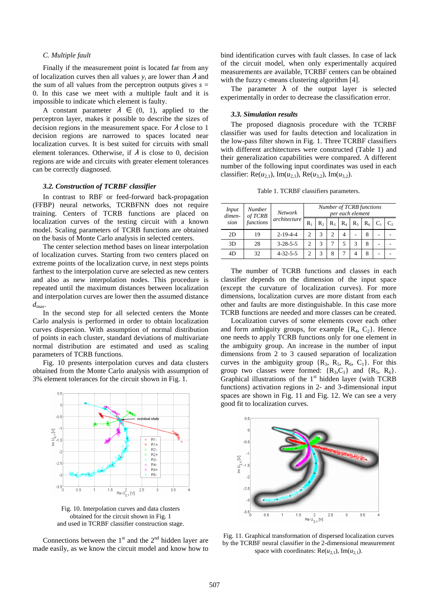### *C. Multiple fault*

Finally if the measurement point is located far from any of localization curves then all values  $y_i$  are lower than  $\lambda$  and the sum of all values from the perceptron outputs gives  $s =$ 0. In this case we meet with a multiple fault and it is impossible to indicate which element is faulty.

A constant parameter  $\lambda \in (0, 1)$ , applied to the perceptron layer, makes it possible to describe the sizes of decision regions in the measurement space. For  $\lambda$  close to 1 decision regions are narrowed to spaces located near localization curves. It is best suited for circuits with small element tolerances. Otherwise, if  $\lambda$  is close to 0, decision regions are wide and circuits with greater element tolerances can be correctly diagnosed.

## *3.2. Construction of TCRBF classifier*

In contrast to RBF or feed-forward back-propagation (FFBP) neural networks, TCRBFNN does not require training. Centers of TCRB functions are placed on localization curves of the testing circuit with a known model. Scaling parameters of TCRB functions are obtained on the basis of Monte Carlo analysis in selected centers.

The center selection method bases on linear interpolation of localization curves. Starting from two centers placed on extreme points of the localization curve, in next steps points farthest to the interpolation curve are selected as new centers and also as new interpolation nodes. This procedure is repeated until the maximum distances between localization and interpolation curves are lower then the assumed distance  $d_{\text{max}}$ .

In the second step for all selected centers the Monte Carlo analysis is performed in order to obtain localization curves dispersion. With assumption of normal distribution of points in each cluster, standard deviations of multivariate normal distribution are estimated and used as scaling parameters of TCRB functions.

Fig. 10 presents interpolation curves and data clusters obtained from the Monte Carlo analysis with assumption of 3% element tolerances for the circuit shown in Fig. 1.



Fig. 10. Interpolation curves and data clusters obtained for the circuit shown in Fig. 1 and used in TCRBF classifier construction stage.

Connections between the  $1<sup>st</sup>$  and the  $2<sup>nd</sup>$  hidden layer are made easily, as we know the circuit model and know how to bind identification curves with fault classes. In case of lack of the circuit model, when only experimentally acquired measurements are available, TCRBF centers can be obtained with the fuzzy c-means clustering algorithm [4].

The parameter  $\lambda$  of the output layer is selected experimentally in order to decrease the classification error.

#### *3.3. Simulation results*

The proposed diagnosis procedure with the TCRBF classifier was used for faults detection and localization in the low-pass filter shown in Fig. 1. Three TCRBF classifiers with different architectures were constructed (Table 1) and their generalization capabilities were compared. A different number of the following input coordinates was used in each classifier: Re( $u_{2,1}$ ), Im( $u_{2,1}$ ), Re( $u_{3,2}$ ), Im( $u_{3,2}$ ).

Table 1. TCRBF classifiers parameters.

| Input<br>dimen-<br>sion | Number<br>of TCRB<br>functions | <b>Network</b><br>architecture | Number of TCRB functions<br>per each element |                |                |       |       |       |  |                            |
|-------------------------|--------------------------------|--------------------------------|----------------------------------------------|----------------|----------------|-------|-------|-------|--|----------------------------|
|                         |                                |                                | $R_1$                                        | R <sub>2</sub> | $R_3$          | $R_4$ | $R_5$ | $R_6$ |  | $\mathbf{C}^{\mathcal{P}}$ |
| 2D                      | 19                             | $2 - 19 - 4 - 4$               | $\overline{c}$                               |                | $\overline{c}$ | 4     | ۰     | 8     |  |                            |
| 3D                      | 28                             | $3 - 28 - 5 - 5$               | $\mathfrak{D}_{1}$                           | 3              |                |       | 3     | 8     |  |                            |
| 4D                      | 32                             | $4 - 32 - 5 - 5$               |                                              | 3              | 8              |       |       | 8     |  |                            |

The number of TCRB functions and classes in each classifier depends on the dimension of the input space (except the curvature of localization curves). For more dimensions, localization curves are more distant from each other and faults are more distinguishable. In this case more TCRB functions are needed and more classes can be created.

Localization curves of some elements cover each other and form ambiguity groups, for example  $\{R_4, C_2\}$ . Hence one needs to apply TCRB functions only for one element in the ambiguity group. An increase in the number of input dimensions from 2 to 3 caused separation of localization curves in the ambiguity group  $\{R_3, R_5, R_6, C_1\}$ . For this group two classes were formed:  $\{R_3, C_1\}$  and  $\{R_5, R_6\}$ . Graphical illustrations of the  $1<sup>st</sup>$  hidden layer (with TCRB functions) activation regions in 2- and 3-dimensional input spaces are shown in Fig. 11 and Fig. 12. We can see a very good fit to localization curves.



Fig. 11. Graphical transformation of dispersed localization curves by the TCRBF neural classifier in the 2-dimensional measurement space with coordinates:  $\text{Re}(u_{2,1}), \text{Im}(u_{2,1}).$